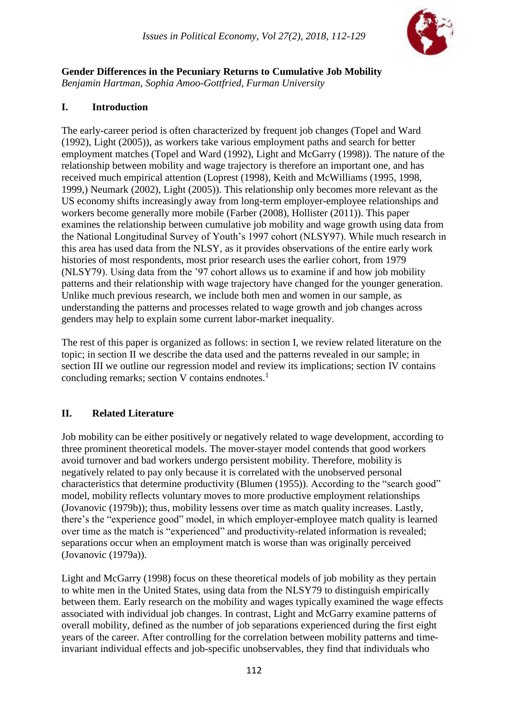

**Gender Differences in the Pecuniary Returns to Cumulative Job Mobility** *Benjamin Hartman, Sophia Amoo-Gottfried, Furman University*

## **I. Introduction**

The early-career period is often characterized by frequent job changes (Topel and Ward (1992), Light (2005)), as workers take various employment paths and search for better employment matches (Topel and Ward (1992), Light and McGarry (1998)). The nature of the relationship between mobility and wage trajectory is therefore an important one, and has received much empirical attention (Loprest (1998), Keith and McWilliams (1995, 1998, 1999,) Neumark (2002), Light (2005)). This relationship only becomes more relevant as the US economy shifts increasingly away from long-term employer-employee relationships and workers become generally more mobile (Farber (2008), Hollister (2011)). This paper examines the relationship between cumulative job mobility and wage growth using data from the National Longitudinal Survey of Youth's 1997 cohort (NLSY97). While much research in this area has used data from the NLSY, as it provides observations of the entire early work histories of most respondents, most prior research uses the earlier cohort, from 1979 (NLSY79). Using data from the '97 cohort allows us to examine if and how job mobility patterns and their relationship with wage trajectory have changed for the younger generation. Unlike much previous research, we include both men and women in our sample, as understanding the patterns and processes related to wage growth and job changes across genders may help to explain some current labor-market inequality.

The rest of this paper is organized as follows: in section I, we review related literature on the topic; in section II we describe the data used and the patterns revealed in our sample; in section III we outline our regression model and review its implications; section IV contains concluding remarks; section V contains endnotes. $<sup>1</sup>$ </sup>

# **II. Related Literature**

Job mobility can be either positively or negatively related to wage development, according to three prominent theoretical models. The mover-stayer model contends that good workers avoid turnover and bad workers undergo persistent mobility. Therefore, mobility is negatively related to pay only because it is correlated with the unobserved personal characteristics that determine productivity (Blumen (1955)). According to the "search good" model, mobility reflects voluntary moves to more productive employment relationships (Jovanovic (1979b)); thus, mobility lessens over time as match quality increases. Lastly, there's the "experience good" model, in which employer-employee match quality is learned over time as the match is "experienced" and productivity-related information is revealed; separations occur when an employment match is worse than was originally perceived (Jovanovic (1979a)).

Light and McGarry (1998) focus on these theoretical models of job mobility as they pertain to white men in the United States, using data from the NLSY79 to distinguish empirically between them. Early research on the mobility and wages typically examined the wage effects associated with individual job changes. In contrast, Light and McGarry examine patterns of overall mobility, defined as the number of job separations experienced during the first eight years of the career. After controlling for the correlation between mobility patterns and timeinvariant individual effects and job-specific unobservables, they find that individuals who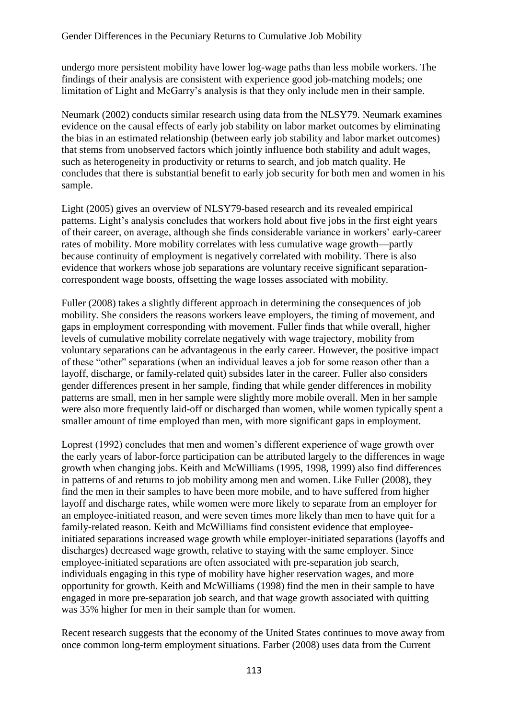undergo more persistent mobility have lower log-wage paths than less mobile workers. The findings of their analysis are consistent with experience good job-matching models; one limitation of Light and McGarry's analysis is that they only include men in their sample.

Neumark (2002) conducts similar research using data from the NLSY79. Neumark examines evidence on the causal effects of early job stability on labor market outcomes by eliminating the bias in an estimated relationship (between early job stability and labor market outcomes) that stems from unobserved factors which jointly influence both stability and adult wages, such as heterogeneity in productivity or returns to search, and job match quality. He concludes that there is substantial benefit to early job security for both men and women in his sample.

Light (2005) gives an overview of NLSY79-based research and its revealed empirical patterns. Light's analysis concludes that workers hold about five jobs in the first eight years of their career, on average, although she finds considerable variance in workers' early-career rates of mobility. More mobility correlates with less cumulative wage growth—partly because continuity of employment is negatively correlated with mobility. There is also evidence that workers whose job separations are voluntary receive significant separationcorrespondent wage boosts, offsetting the wage losses associated with mobility.

Fuller (2008) takes a slightly different approach in determining the consequences of job mobility. She considers the reasons workers leave employers, the timing of movement, and gaps in employment corresponding with movement. Fuller finds that while overall, higher levels of cumulative mobility correlate negatively with wage trajectory, mobility from voluntary separations can be advantageous in the early career. However, the positive impact of these "other" separations (when an individual leaves a job for some reason other than a layoff, discharge, or family-related quit) subsides later in the career. Fuller also considers gender differences present in her sample, finding that while gender differences in mobility patterns are small, men in her sample were slightly more mobile overall. Men in her sample were also more frequently laid-off or discharged than women, while women typically spent a smaller amount of time employed than men, with more significant gaps in employment.

Loprest (1992) concludes that men and women's different experience of wage growth over the early years of labor-force participation can be attributed largely to the differences in wage growth when changing jobs. Keith and McWilliams (1995, 1998, 1999) also find differences in patterns of and returns to job mobility among men and women. Like Fuller (2008), they find the men in their samples to have been more mobile, and to have suffered from higher layoff and discharge rates, while women were more likely to separate from an employer for an employee-initiated reason, and were seven times more likely than men to have quit for a family-related reason. Keith and McWilliams find consistent evidence that employeeinitiated separations increased wage growth while employer-initiated separations (layoffs and discharges) decreased wage growth, relative to staying with the same employer. Since employee-initiated separations are often associated with pre-separation job search, individuals engaging in this type of mobility have higher reservation wages, and more opportunity for growth. Keith and McWilliams (1998) find the men in their sample to have engaged in more pre-separation job search, and that wage growth associated with quitting was 35% higher for men in their sample than for women.

Recent research suggests that the economy of the United States continues to move away from once common long-term employment situations. Farber (2008) uses data from the Current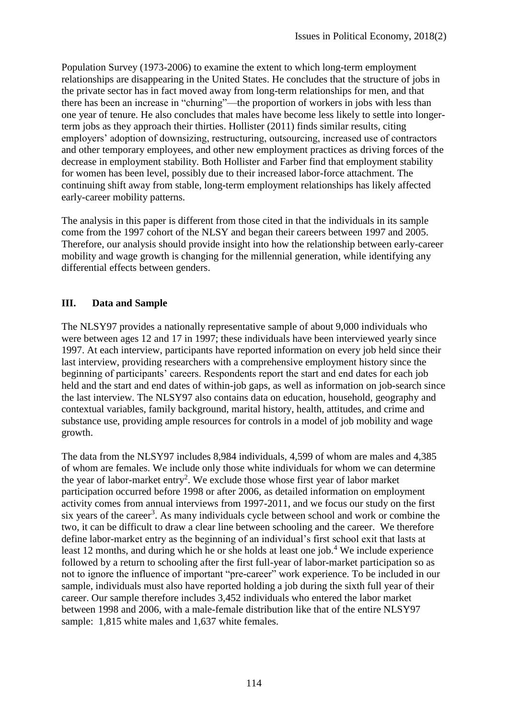Population Survey (1973-2006) to examine the extent to which long-term employment relationships are disappearing in the United States. He concludes that the structure of jobs in the private sector has in fact moved away from long-term relationships for men, and that there has been an increase in "churning"—the proportion of workers in jobs with less than one year of tenure. He also concludes that males have become less likely to settle into longerterm jobs as they approach their thirties. Hollister (2011) finds similar results, citing employers' adoption of downsizing, restructuring, outsourcing, increased use of contractors and other temporary employees, and other new employment practices as driving forces of the decrease in employment stability. Both Hollister and Farber find that employment stability for women has been level, possibly due to their increased labor-force attachment. The continuing shift away from stable, long-term employment relationships has likely affected early-career mobility patterns.

The analysis in this paper is different from those cited in that the individuals in its sample come from the 1997 cohort of the NLSY and began their careers between 1997 and 2005. Therefore, our analysis should provide insight into how the relationship between early-career mobility and wage growth is changing for the millennial generation, while identifying any differential effects between genders.

# **III. Data and Sample**

The NLSY97 provides a nationally representative sample of about 9,000 individuals who were between ages 12 and 17 in 1997; these individuals have been interviewed yearly since 1997. At each interview, participants have reported information on every job held since their last interview, providing researchers with a comprehensive employment history since the beginning of participants' careers. Respondents report the start and end dates for each job held and the start and end dates of within-job gaps, as well as information on job-search since the last interview. The NLSY97 also contains data on education, household, geography and contextual variables, family background, marital history, health, attitudes, and crime and substance use, providing ample resources for controls in a model of job mobility and wage growth.

The data from the NLSY97 includes 8,984 individuals, 4,599 of whom are males and 4,385 of whom are females. We include only those white individuals for whom we can determine the year of labor-market entry<sup>2</sup>. We exclude those whose first year of labor market participation occurred before 1998 or after 2006, as detailed information on employment activity comes from annual interviews from 1997-2011, and we focus our study on the first six years of the career<sup>3</sup>. As many individuals cycle between school and work or combine the two, it can be difficult to draw a clear line between schooling and the career. We therefore define labor-market entry as the beginning of an individual's first school exit that lasts at least 12 months, and during which he or she holds at least one job.<sup>4</sup> We include experience followed by a return to schooling after the first full-year of labor-market participation so as not to ignore the influence of important "pre-career" work experience. To be included in our sample, individuals must also have reported holding a job during the sixth full year of their career. Our sample therefore includes 3,452 individuals who entered the labor market between 1998 and 2006, with a male-female distribution like that of the entire NLSY97 sample: 1,815 white males and 1,637 white females.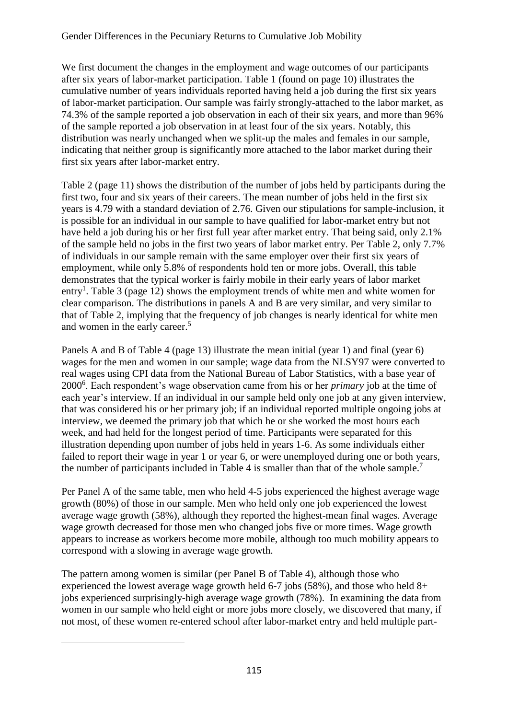We first document the changes in the employment and wage outcomes of our participants after six years of labor-market participation. Table 1 (found on page 10) illustrates the cumulative number of years individuals reported having held a job during the first six years of labor-market participation. Our sample was fairly strongly-attached to the labor market, as 74.3% of the sample reported a job observation in each of their six years, and more than 96% of the sample reported a job observation in at least four of the six years. Notably, this distribution was nearly unchanged when we split-up the males and females in our sample, indicating that neither group is significantly more attached to the labor market during their first six years after labor-market entry.

Table 2 (page 11) shows the distribution of the number of jobs held by participants during the first two, four and six years of their careers. The mean number of jobs held in the first six years is 4.79 with a standard deviation of 2.76. Given our stipulations for sample-inclusion, it is possible for an individual in our sample to have qualified for labor-market entry but not have held a job during his or her first full year after market entry. That being said, only 2.1% of the sample held no jobs in the first two years of labor market entry. Per Table 2, only 7.7% of individuals in our sample remain with the same employer over their first six years of employment, while only 5.8% of respondents hold ten or more jobs. Overall, this table demonstrates that the typical worker is fairly mobile in their early years of labor market entry<sup>1</sup>. Table 3 (page 12) shows the employment trends of white men and white women for clear comparison. The distributions in panels A and B are very similar, and very similar to that of Table 2, implying that the frequency of job changes is nearly identical for white men and women in the early career. 5

Panels A and B of Table 4 (page 13) illustrate the mean initial (year 1) and final (year 6) wages for the men and women in our sample; wage data from the NLSY97 were converted to real wages using CPI data from the National Bureau of Labor Statistics, with a base year of 2000<sup>6</sup> . Each respondent's wage observation came from his or her *primary* job at the time of each year's interview. If an individual in our sample held only one job at any given interview, that was considered his or her primary job; if an individual reported multiple ongoing jobs at interview, we deemed the primary job that which he or she worked the most hours each week, and had held for the longest period of time. Participants were separated for this illustration depending upon number of jobs held in years 1-6. As some individuals either failed to report their wage in year 1 or year 6, or were unemployed during one or both years, the number of participants included in Table 4 is smaller than that of the whole sample.<sup>7</sup>

Per Panel A of the same table, men who held 4-5 jobs experienced the highest average wage growth (80%) of those in our sample. Men who held only one job experienced the lowest average wage growth (58%), although they reported the highest-mean final wages. Average wage growth decreased for those men who changed jobs five or more times. Wage growth appears to increase as workers become more mobile, although too much mobility appears to correspond with a slowing in average wage growth.

The pattern among women is similar (per Panel B of Table 4), although those who experienced the lowest average wage growth held 6-7 jobs (58%), and those who held 8+ jobs experienced surprisingly-high average wage growth (78%). In examining the data from women in our sample who held eight or more jobs more closely, we discovered that many, if not most, of these women re-entered school after labor-market entry and held multiple part-

 $\overline{a}$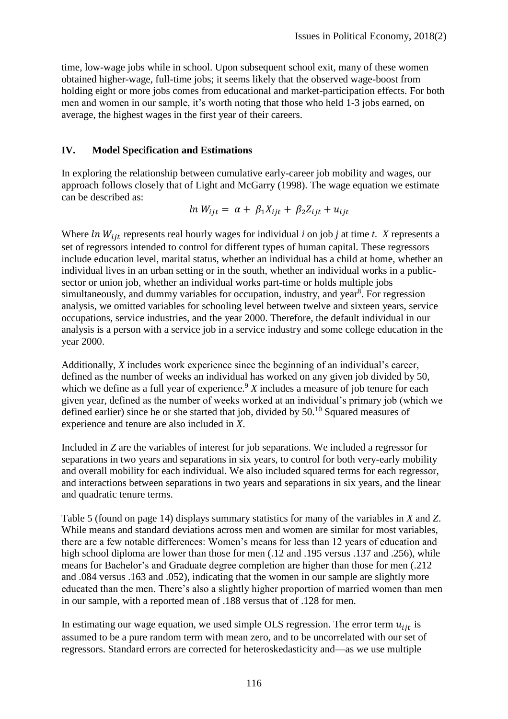time, low-wage jobs while in school. Upon subsequent school exit, many of these women obtained higher-wage, full-time jobs; it seems likely that the observed wage-boost from holding eight or more jobs comes from educational and market-participation effects. For both men and women in our sample, it's worth noting that those who held 1-3 jobs earned, on average, the highest wages in the first year of their careers.

### **IV. Model Specification and Estimations**

In exploring the relationship between cumulative early-career job mobility and wages, our approach follows closely that of Light and McGarry (1998). The wage equation we estimate can be described as:

$$
ln W_{ijt} = \alpha + \beta_1 X_{ijt} + \beta_2 Z_{ijt} + u_{ijt}
$$

Where  $ln W_{ijt}$  represents real hourly wages for individual *i* on job *j* at time *t*. *X* represents a set of regressors intended to control for different types of human capital. These regressors include education level, marital status, whether an individual has a child at home, whether an individual lives in an urban setting or in the south, whether an individual works in a publicsector or union job, whether an individual works part-time or holds multiple jobs simultaneously, and dummy variables for occupation, industry, and year<sup>8</sup>. For regression analysis, we omitted variables for schooling level between twelve and sixteen years, service occupations, service industries, and the year 2000. Therefore, the default individual in our analysis is a person with a service job in a service industry and some college education in the year 2000.

Additionally, *X* includes work experience since the beginning of an individual's career, defined as the number of weeks an individual has worked on any given job divided by 50, which we define as a full year of experience.<sup>9</sup>  $X$  includes a measure of job tenure for each given year, defined as the number of weeks worked at an individual's primary job (which we defined earlier) since he or she started that job, divided by  $50^{10}$  Squared measures of experience and tenure are also included in *X*.

Included in *Z* are the variables of interest for job separations. We included a regressor for separations in two years and separations in six years, to control for both very-early mobility and overall mobility for each individual. We also included squared terms for each regressor, and interactions between separations in two years and separations in six years, and the linear and quadratic tenure terms.

Table 5 (found on page 14) displays summary statistics for many of the variables in *X* and *Z*. While means and standard deviations across men and women are similar for most variables, there are a few notable differences: Women's means for less than 12 years of education and high school diploma are lower than those for men  $(.12 \text{ and } .195 \text{ versus } .137 \text{ and } .256)$ , while means for Bachelor's and Graduate degree completion are higher than those for men (.212 and .084 versus .163 and .052), indicating that the women in our sample are slightly more educated than the men. There's also a slightly higher proportion of married women than men in our sample, with a reported mean of .188 versus that of .128 for men.

In estimating our wage equation, we used simple OLS regression. The error term  $u_{ij}$  is assumed to be a pure random term with mean zero, and to be uncorrelated with our set of regressors. Standard errors are corrected for heteroskedasticity and—as we use multiple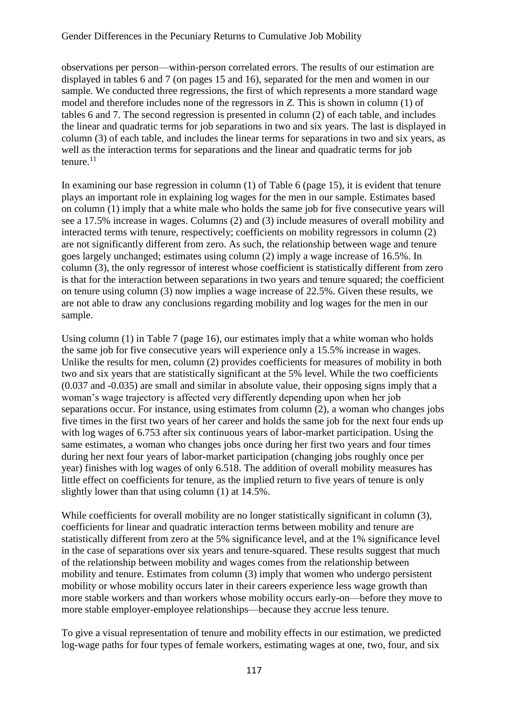observations per person—within-person correlated errors. The results of our estimation are displayed in tables 6 and 7 (on pages 15 and 16), separated for the men and women in our sample. We conducted three regressions, the first of which represents a more standard wage model and therefore includes none of the regressors in *Z.* This is shown in column (1) of tables 6 and 7. The second regression is presented in column (2) of each table, and includes the linear and quadratic terms for job separations in two and six years. The last is displayed in column (3) of each table, and includes the linear terms for separations in two and six years, as well as the interaction terms for separations and the linear and quadratic terms for job tenure. $11$ 

In examining our base regression in column (1) of Table 6 (page 15), it is evident that tenure plays an important role in explaining log wages for the men in our sample. Estimates based on column (1) imply that a white male who holds the same job for five consecutive years will see a 17.5% increase in wages. Columns (2) and (3) include measures of overall mobility and interacted terms with tenure, respectively; coefficients on mobility regressors in column (2) are not significantly different from zero. As such, the relationship between wage and tenure goes largely unchanged; estimates using column (2) imply a wage increase of 16.5%. In column (3), the only regressor of interest whose coefficient is statistically different from zero is that for the interaction between separations in two years and tenure squared; the coefficient on tenure using column (3) now implies a wage increase of 22.5%. Given these results, we are not able to draw any conclusions regarding mobility and log wages for the men in our sample.

Using column (1) in Table 7 (page 16), our estimates imply that a white woman who holds the same job for five consecutive years will experience only a 15.5% increase in wages. Unlike the results for men, column (2) provides coefficients for measures of mobility in both two and six years that are statistically significant at the 5% level. While the two coefficients (0.037 and -0.035) are small and similar in absolute value, their opposing signs imply that a woman's wage trajectory is affected very differently depending upon when her job separations occur. For instance, using estimates from column (2), a woman who changes jobs five times in the first two years of her career and holds the same job for the next four ends up with log wages of 6.753 after six continuous years of labor-market participation. Using the same estimates, a woman who changes jobs once during her first two years and four times during her next four years of labor-market participation (changing jobs roughly once per year) finishes with log wages of only 6.518. The addition of overall mobility measures has little effect on coefficients for tenure, as the implied return to five years of tenure is only slightly lower than that using column (1) at 14.5%.

While coefficients for overall mobility are no longer statistically significant in column (3), coefficients for linear and quadratic interaction terms between mobility and tenure are statistically different from zero at the 5% significance level, and at the 1% significance level in the case of separations over six years and tenure-squared. These results suggest that much of the relationship between mobility and wages comes from the relationship between mobility and tenure. Estimates from column (3) imply that women who undergo persistent mobility or whose mobility occurs later in their careers experience less wage growth than more stable workers and than workers whose mobility occurs early-on—before they move to more stable employer-employee relationships—because they accrue less tenure.

To give a visual representation of tenure and mobility effects in our estimation, we predicted log-wage paths for four types of female workers, estimating wages at one, two, four, and six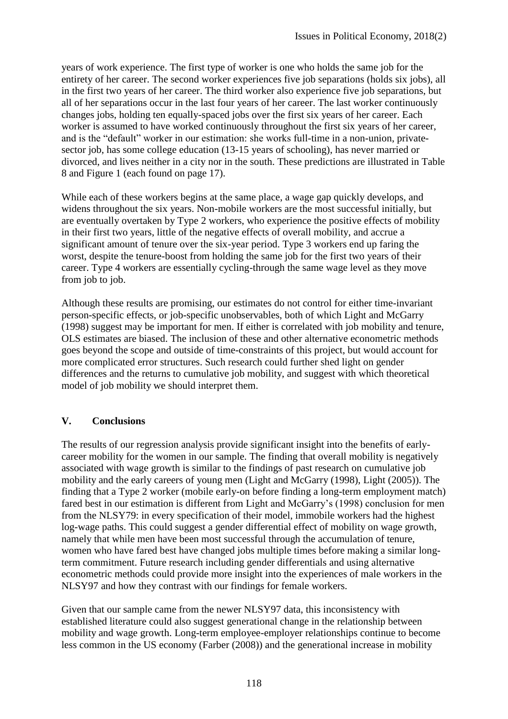years of work experience. The first type of worker is one who holds the same job for the entirety of her career. The second worker experiences five job separations (holds six jobs), all in the first two years of her career. The third worker also experience five job separations, but all of her separations occur in the last four years of her career. The last worker continuously changes jobs, holding ten equally-spaced jobs over the first six years of her career. Each worker is assumed to have worked continuously throughout the first six years of her career, and is the "default" worker in our estimation: she works full-time in a non-union, privatesector job, has some college education (13-15 years of schooling), has never married or divorced, and lives neither in a city nor in the south. These predictions are illustrated in Table 8 and Figure 1 (each found on page 17).

While each of these workers begins at the same place, a wage gap quickly develops, and widens throughout the six years. Non-mobile workers are the most successful initially, but are eventually overtaken by Type 2 workers, who experience the positive effects of mobility in their first two years, little of the negative effects of overall mobility, and accrue a significant amount of tenure over the six-year period. Type 3 workers end up faring the worst, despite the tenure-boost from holding the same job for the first two years of their career. Type 4 workers are essentially cycling-through the same wage level as they move from job to job.

Although these results are promising, our estimates do not control for either time-invariant person-specific effects, or job-specific unobservables, both of which Light and McGarry (1998) suggest may be important for men. If either is correlated with job mobility and tenure, OLS estimates are biased. The inclusion of these and other alternative econometric methods goes beyond the scope and outside of time-constraints of this project, but would account for more complicated error structures. Such research could further shed light on gender differences and the returns to cumulative job mobility, and suggest with which theoretical model of job mobility we should interpret them.

# **V. Conclusions**

The results of our regression analysis provide significant insight into the benefits of earlycareer mobility for the women in our sample. The finding that overall mobility is negatively associated with wage growth is similar to the findings of past research on cumulative job mobility and the early careers of young men (Light and McGarry (1998), Light (2005)). The finding that a Type 2 worker (mobile early-on before finding a long-term employment match) fared best in our estimation is different from Light and McGarry's (1998) conclusion for men from the NLSY79: in every specification of their model, immobile workers had the highest log-wage paths. This could suggest a gender differential effect of mobility on wage growth, namely that while men have been most successful through the accumulation of tenure, women who have fared best have changed jobs multiple times before making a similar longterm commitment. Future research including gender differentials and using alternative econometric methods could provide more insight into the experiences of male workers in the NLSY97 and how they contrast with our findings for female workers.

Given that our sample came from the newer NLSY97 data, this inconsistency with established literature could also suggest generational change in the relationship between mobility and wage growth. Long-term employee-employer relationships continue to become less common in the US economy (Farber (2008)) and the generational increase in mobility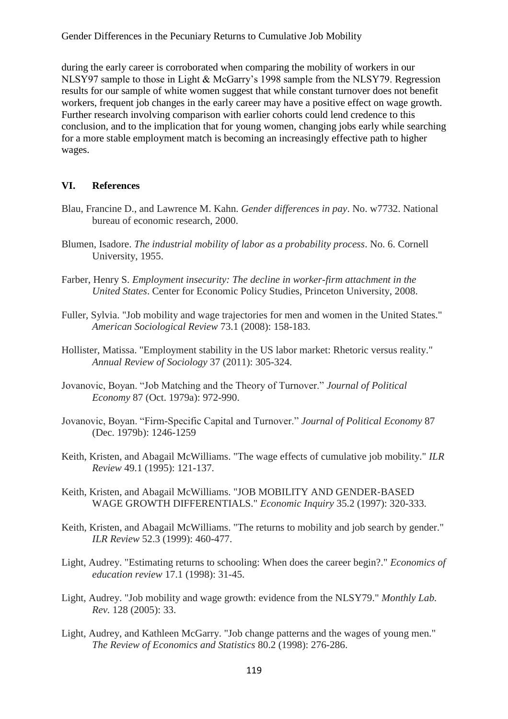Gender Differences in the Pecuniary Returns to Cumulative Job Mobility

during the early career is corroborated when comparing the mobility of workers in our NLSY97 sample to those in Light & McGarry's 1998 sample from the NLSY79. Regression results for our sample of white women suggest that while constant turnover does not benefit workers, frequent job changes in the early career may have a positive effect on wage growth. Further research involving comparison with earlier cohorts could lend credence to this conclusion, and to the implication that for young women, changing jobs early while searching for a more stable employment match is becoming an increasingly effective path to higher wages.

#### **VI. References**

- Blau, Francine D., and Lawrence M. Kahn. *Gender differences in pay*. No. w7732. National bureau of economic research, 2000.
- Blumen, Isadore. *The industrial mobility of labor as a probability process*. No. 6. Cornell University, 1955.
- Farber, Henry S. *Employment insecurity: The decline in worker-firm attachment in the United States*. Center for Economic Policy Studies, Princeton University, 2008.
- Fuller, Sylvia. "Job mobility and wage trajectories for men and women in the United States." *American Sociological Review* 73.1 (2008): 158-183.
- Hollister, Matissa. "Employment stability in the US labor market: Rhetoric versus reality." *Annual Review of Sociology* 37 (2011): 305-324.
- Jovanovic, Boyan. "Job Matching and the Theory of Turnover." *Journal of Political Economy* 87 (Oct. 1979a): 972-990.
- Jovanovic, Boyan. "Firm-Specific Capital and Turnover." *Journal of Political Economy* 87 (Dec. 1979b): 1246-1259
- Keith, Kristen, and Abagail McWilliams. "The wage effects of cumulative job mobility." *ILR Review* 49.1 (1995): 121-137.
- Keith, Kristen, and Abagail McWilliams. "JOB MOBILITY AND GENDER‐BASED WAGE GROWTH DIFFERENTIALS." *Economic Inquiry* 35.2 (1997): 320-333.
- Keith, Kristen, and Abagail McWilliams. "The returns to mobility and job search by gender." *ILR Review* 52.3 (1999): 460-477.
- Light, Audrey. "Estimating returns to schooling: When does the career begin?." *Economics of education review* 17.1 (1998): 31-45.
- Light, Audrey. "Job mobility and wage growth: evidence from the NLSY79." *Monthly Lab. Rev.* 128 (2005): 33.
- Light, Audrey, and Kathleen McGarry. "Job change patterns and the wages of young men." *The Review of Economics and Statistics* 80.2 (1998): 276-286.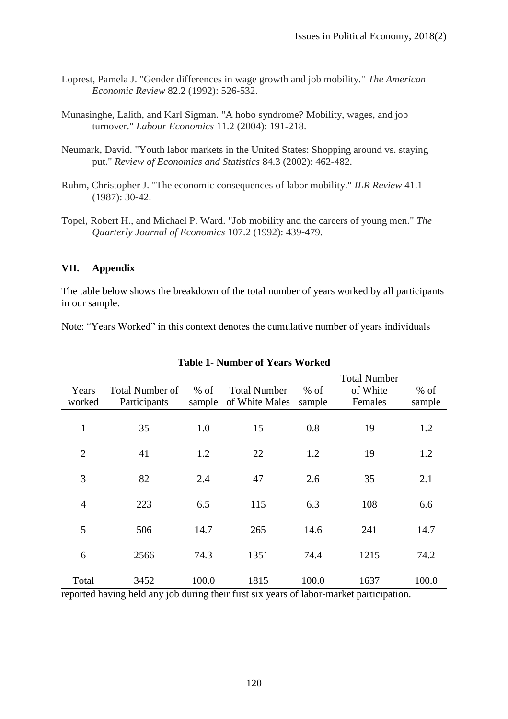- Loprest, Pamela J. "Gender differences in wage growth and job mobility." *The American Economic Review* 82.2 (1992): 526-532.
- Munasinghe, Lalith, and Karl Sigman. "A hobo syndrome? Mobility, wages, and job turnover." *Labour Economics* 11.2 (2004): 191-218.
- Neumark, David. "Youth labor markets in the United States: Shopping around vs. staying put." *Review of Economics and Statistics* 84.3 (2002): 462-482.
- Ruhm, Christopher J. "The economic consequences of labor mobility." *ILR Review* 41.1 (1987): 30-42.
- Topel, Robert H., and Michael P. Ward. "Job mobility and the careers of young men." *The Quarterly Journal of Economics* 107.2 (1992): 439-479.

#### **VII. Appendix**

The table below shows the breakdown of the total number of years worked by all participants in our sample.

Note: "Years Worked" in this context denotes the cumulative number of years individuals

| ramocr or reard |                        |        |                     |        |                     |        |  |  |  |
|-----------------|------------------------|--------|---------------------|--------|---------------------|--------|--|--|--|
|                 |                        |        |                     |        | <b>Total Number</b> |        |  |  |  |
| Years           | <b>Total Number of</b> | $%$ of | <b>Total Number</b> | $%$ of | of White            | $%$ of |  |  |  |
| worked          | Participants           | sample | of White Males      | sample | Females             | sample |  |  |  |
|                 |                        |        |                     |        |                     |        |  |  |  |
| $\mathbf{1}$    | 35                     | 1.0    | 15                  | 0.8    | 19                  | 1.2    |  |  |  |
|                 |                        |        |                     |        |                     |        |  |  |  |
| $\overline{2}$  | 41                     | 1.2    | 22                  | 1.2    | 19                  | 1.2    |  |  |  |
|                 |                        |        |                     |        |                     |        |  |  |  |
| 3               | 82                     | 2.4    | 47                  | 2.6    | 35                  | 2.1    |  |  |  |
|                 |                        |        |                     |        |                     |        |  |  |  |
| $\overline{4}$  | 223                    | 6.5    | 115                 | 6.3    | 108                 | 6.6    |  |  |  |
|                 |                        |        |                     |        |                     |        |  |  |  |
| 5               | 506                    | 14.7   | 265                 | 14.6   | 241                 | 14.7   |  |  |  |
|                 |                        |        |                     |        |                     |        |  |  |  |
| 6               | 2566                   | 74.3   | 1351                | 74.4   | 1215                | 74.2   |  |  |  |
|                 |                        |        |                     |        |                     |        |  |  |  |
| Total           | 3452                   | 100.0  | 1815                | 100.0  | 1637                | 100.0  |  |  |  |

**Table 1- Number of Years Worked**

reported having held any job during their first six years of labor-market participation.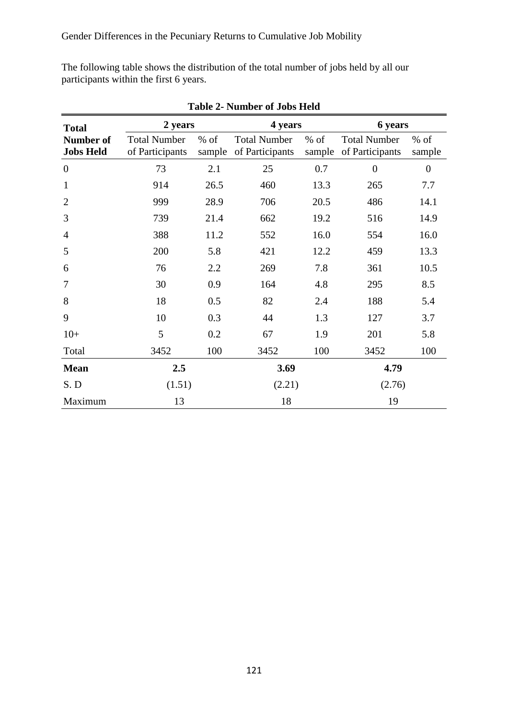The following table shows the distribution of the total number of jobs held by all our participants within the first 6 years.

| <b>Total</b>                         | 2 years                                |                  | 4 years                                |                  | 6 years                                |                  |  |  |
|--------------------------------------|----------------------------------------|------------------|----------------------------------------|------------------|----------------------------------------|------------------|--|--|
| <b>Number of</b><br><b>Jobs Held</b> | <b>Total Number</b><br>of Participants | $%$ of<br>sample | <b>Total Number</b><br>of Participants | $%$ of<br>sample | <b>Total Number</b><br>of Participants | $%$ of<br>sample |  |  |
| $\overline{0}$                       | 73                                     | 2.1              | 25                                     | 0.7              |                                        | $\overline{0}$   |  |  |
| $\mathbf{1}$                         | 914                                    | 26.5             | 460                                    | 13.3             | 265                                    | 7.7              |  |  |
| $\overline{2}$                       | 999                                    | 28.9             | 706                                    | 20.5             | 486                                    | 14.1             |  |  |
| 3                                    | 739                                    | 21.4             | 662<br>19.2                            |                  | 516                                    | 14.9             |  |  |
| $\overline{4}$                       | 388                                    | 11.2             | 16.0<br>552                            |                  | 554                                    | 16.0             |  |  |
| 5                                    | 200                                    | 5.8              | 421                                    | 12.2             | 459                                    | 13.3             |  |  |
| 6                                    | 76                                     | 2.2              | 269                                    | 7.8              | 361                                    | 10.5             |  |  |
| 7                                    | 30                                     | 0.9              | 164                                    | 4.8              | 295                                    | 8.5              |  |  |
| 8                                    | 18                                     | 0.5              | 82                                     | 2.4              | 188                                    | 5.4              |  |  |
| 9                                    | 10                                     | 0.3              | 44                                     | 1.3              | 127                                    | 3.7              |  |  |
| $10+$                                | 5                                      | 0.2              | 67                                     | 1.9              | 201                                    | 5.8              |  |  |
| Total                                | 3452                                   | 100              | 3452                                   | 100              | 3452                                   | 100              |  |  |
| <b>Mean</b>                          | 2.5                                    |                  | 3.69                                   |                  | 4.79                                   |                  |  |  |
| S.D                                  | (1.51)                                 |                  | (2.21)                                 |                  | (2.76)                                 |                  |  |  |
| Maximum                              | 13                                     |                  | 18                                     |                  | 19                                     |                  |  |  |

**Table 2- Number of Jobs Held**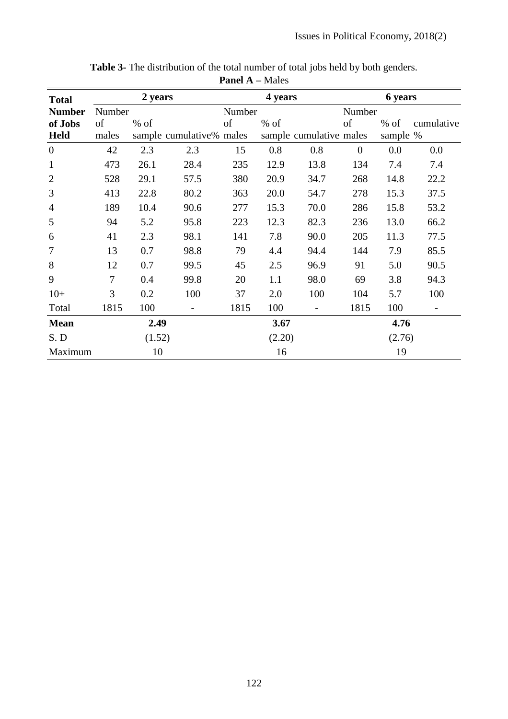| <b>Total</b>     |        | 2 years |                          |        | 4 years |                         |                | <b>6</b> years |            |
|------------------|--------|---------|--------------------------|--------|---------|-------------------------|----------------|----------------|------------|
| <b>Number</b>    | Number |         |                          | Number |         |                         | Number         |                |            |
| of Jobs          | of     | $%$ of  |                          | of     | $%$ of  |                         | of             | $%$ of         | cumulative |
| <b>Held</b>      | males  |         | sample cumulative% males |        |         | sample cumulative males |                | sample %       |            |
| $\boldsymbol{0}$ | 42     | 2.3     | 2.3                      | 15     | 0.8     | 0.8                     | $\overline{0}$ | 0.0            | 0.0        |
| $\mathbf{1}$     | 473    | 26.1    | 28.4                     | 235    | 12.9    | 13.8                    | 134            | 7.4            | 7.4        |
| $\overline{2}$   | 528    | 29.1    | 57.5                     | 380    | 20.9    | 34.7                    | 268            | 14.8           | 22.2       |
| 3                | 413    | 22.8    | 80.2                     | 363    | 20.0    | 54.7                    | 278            | 15.3           | 37.5       |
| $\overline{4}$   | 189    | 10.4    | 90.6                     | 277    | 15.3    | 70.0                    | 286            | 15.8           | 53.2       |
| 5                | 94     | 5.2     | 95.8                     | 223    | 12.3    | 82.3                    | 236            | 13.0           | 66.2       |
| 6                | 41     | 2.3     | 98.1                     | 141    | 7.8     | 90.0                    | 205            | 11.3           | 77.5       |
| 7                | 13     | 0.7     | 98.8                     | 79     | 4.4     | 94.4                    | 144            | 7.9            | 85.5       |
| 8                | 12     | 0.7     | 99.5                     | 45     | 2.5     | 96.9                    | 91             | 5.0            | 90.5       |
| 9                | 7      | 0.4     | 99.8                     | 20     | 1.1     | 98.0                    | 69             | 3.8            | 94.3       |
| $10+$            | 3      | 0.2     | 100                      | 37     | 2.0     | 100                     | 104            | 5.7            | 100        |
| Total            | 1815   | 100     |                          | 1815   | 100     | $\qquad \qquad$         | 1815           | 100            |            |
| <b>Mean</b>      |        | 2.49    |                          |        | 3.67    |                         |                | 4.76           |            |
| S.D              |        | (1.52)  |                          |        | (2.20)  |                         |                | (2.76)         |            |
| Maximum          |        | 10      |                          |        | 16      |                         |                | 19             |            |

**Table 3-** The distribution of the total number of total jobs held by both genders.

**Panel A –** Males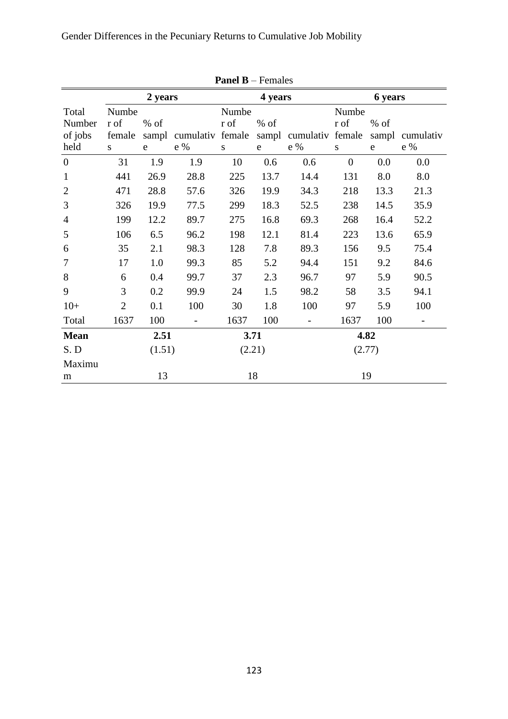Gender Differences in the Pecuniary Returns to Cumulative Job Mobility

| $\Gamma$ aliei d $\Gamma$ – Feinaies |                               |        |                  |       |           |                  |                |           |           |
|--------------------------------------|-------------------------------|--------|------------------|-------|-----------|------------------|----------------|-----------|-----------|
|                                      | 2 years<br>4 years<br>6 years |        |                  |       |           |                  |                |           |           |
| Total                                | Numbe                         |        |                  | Numbe |           |                  | Numbe          |           |           |
| Number                               | r of                          | $%$ of |                  | r of  | $%$ of    |                  | r of           | $%$ of    |           |
| of jobs                              | female                        | sampl  | cumulativ female |       | sampl     | cumulativ female |                | sampl     | cumulativ |
| held                                 | S                             | e      | e %              | S     | ${\bf e}$ | e %              | S              | ${\rm e}$ | e %       |
| $\boldsymbol{0}$                     | 31                            | 1.9    | 1.9              | 10    | 0.6       | 0.6              | $\overline{0}$ | 0.0       | 0.0       |
| $\mathbf{1}$                         | 441                           | 26.9   | 28.8             | 225   | 13.7      | 14.4             | 131            | 8.0       | 8.0       |
| $\overline{2}$                       | 471                           | 28.8   | 57.6             | 326   | 19.9      | 34.3             | 218            | 13.3      | 21.3      |
| 3                                    | 326                           | 19.9   | 77.5             | 299   | 18.3      | 52.5             | 238            | 14.5      | 35.9      |
| $\overline{4}$                       | 199                           | 12.2   | 89.7             | 275   | 16.8      | 69.3             | 268            | 16.4      | 52.2      |
| 5                                    | 106                           | 6.5    | 96.2             | 198   | 12.1      | 81.4             | 223            | 13.6      | 65.9      |
| 6                                    | 35                            | 2.1    | 98.3             | 128   | 7.8       | 89.3             | 156            | 9.5       | 75.4      |
| 7                                    | 17                            | 1.0    | 99.3             | 85    | 5.2       | 94.4             | 151            | 9.2       | 84.6      |
| 8                                    | 6                             | 0.4    | 99.7             | 37    | 2.3       | 96.7             | 97             | 5.9       | 90.5      |
| 9                                    | 3                             | 0.2    | 99.9             | 24    | 1.5       | 98.2             | 58             | 3.5       | 94.1      |
| $10+$                                | $\overline{2}$                | 0.1    | 100              | 30    | 1.8       | 100              | 97             | 5.9       | 100       |
| Total                                | 1637                          | 100    |                  | 1637  | 100       |                  | 1637           | 100       |           |
| <b>Mean</b>                          |                               | 2.51   |                  |       | 3.71      |                  |                | 4.82      |           |
| S.D                                  |                               | (1.51) |                  |       | (2.21)    |                  |                | (2.77)    |           |
| Maximu                               |                               |        |                  |       |           |                  |                |           |           |
| m                                    |                               | 13     |                  |       | 18        |                  |                | 19        |           |

|  |  | <b>Panel B</b> – Females |
|--|--|--------------------------|
|--|--|--------------------------|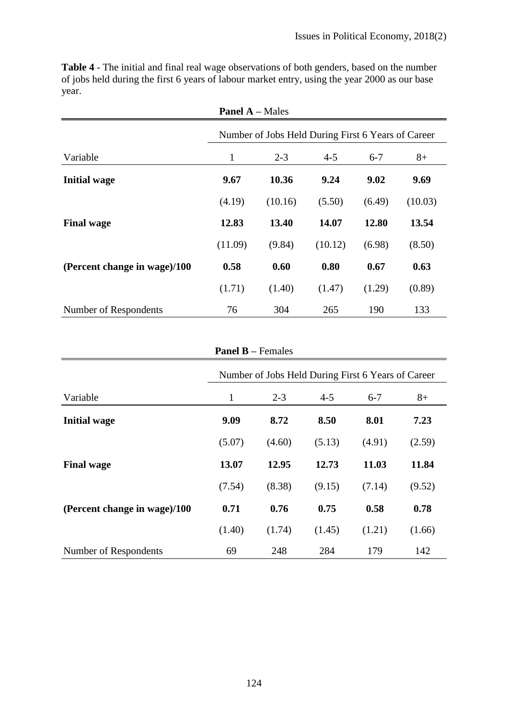| <b>Panel A – Males</b>       |                                                    |         |         |         |         |  |  |  |
|------------------------------|----------------------------------------------------|---------|---------|---------|---------|--|--|--|
|                              | Number of Jobs Held During First 6 Years of Career |         |         |         |         |  |  |  |
| Variable                     | 1                                                  | $2 - 3$ | $4 - 5$ | $6 - 7$ | $8+$    |  |  |  |
| <b>Initial wage</b>          | 9.67                                               | 10.36   | 9.24    | 9.02    | 9.69    |  |  |  |
|                              | (4.19)                                             | (10.16) | (5.50)  | (6.49)  | (10.03) |  |  |  |
| <b>Final wage</b>            | 12.83                                              | 13.40   | 14.07   | 12.80   | 13.54   |  |  |  |
|                              | (11.09)                                            | (9.84)  | (10.12) | (6.98)  | (8.50)  |  |  |  |
| (Percent change in wage)/100 | 0.58                                               | 0.60    | 0.80    | 0.67    | 0.63    |  |  |  |
|                              | (1.71)                                             | (1.40)  | (1.47)  | (1.29)  | (0.89)  |  |  |  |
| Number of Respondents        | 76                                                 | 304     | 265     | 190     | 133     |  |  |  |

**Table 4** - The initial and final real wage observations of both genders, based on the number of jobs held during the first 6 years of labour market entry, using the year 2000 as our base year.

| <b>Panel B</b> – Females                           |        |         |         |         |        |  |  |  |
|----------------------------------------------------|--------|---------|---------|---------|--------|--|--|--|
| Number of Jobs Held During First 6 Years of Career |        |         |         |         |        |  |  |  |
| Variable                                           | 1      | $2 - 3$ | $4 - 5$ | $6 - 7$ | $8+$   |  |  |  |
| <b>Initial wage</b>                                | 9.09   | 8.72    | 8.50    | 8.01    | 7.23   |  |  |  |
|                                                    | (5.07) | (4.60)  | (5.13)  | (4.91)  | (2.59) |  |  |  |
| <b>Final wage</b>                                  | 13.07  | 12.95   | 12.73   | 11.03   | 11.84  |  |  |  |
|                                                    | (7.54) | (8.38)  | (9.15)  | (7.14)  | (9.52) |  |  |  |
| (Percent change in wage)/100                       | 0.71   | 0.76    | 0.75    | 0.58    | 0.78   |  |  |  |
|                                                    | (1.40) | (1.74)  | (1.45)  | (1.21)  | (1.66) |  |  |  |
| Number of Respondents                              | 69     | 248     | 284     | 179     | 142    |  |  |  |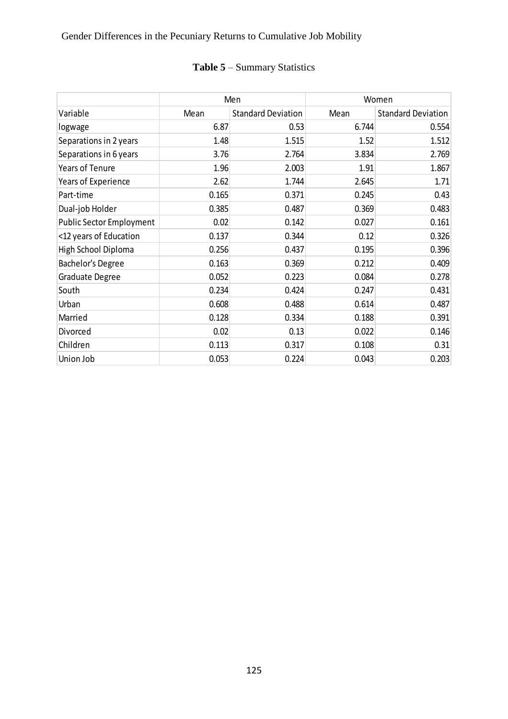# Gender Differences in the Pecuniary Returns to Cumulative Job Mobility

# **Table 5** – Summary Statistics

|                                 |       | Men                       | Women |                           |  |
|---------------------------------|-------|---------------------------|-------|---------------------------|--|
| Variable                        | Mean  | <b>Standard Deviation</b> | Mean  | <b>Standard Deviation</b> |  |
| logwage                         | 6.87  | 0.53                      | 6.744 | 0.554                     |  |
| Separations in 2 years          | 1.48  | 1.515                     | 1.52  | 1.512                     |  |
| Separations in 6 years          | 3.76  | 2.764                     | 3.834 | 2.769                     |  |
| Years of Tenure                 | 1.96  | 2.003                     | 1.91  | 1.867                     |  |
| Years of Experience             | 2.62  | 1.744                     | 2.645 | 1.71                      |  |
| Part-time                       | 0.165 | 0.371                     | 0.245 | 0.43                      |  |
| Dual-job Holder                 | 0.385 | 0.487                     | 0.369 | 0.483                     |  |
| <b>Public Sector Employment</b> | 0.02  | 0.142                     | 0.027 | 0.161                     |  |
| <12 years of Education          | 0.137 | 0.344                     | 0.12  | 0.326                     |  |
| High School Diploma             | 0.256 | 0.437                     | 0.195 | 0.396                     |  |
| Bachelor's Degree               | 0.163 | 0.369                     | 0.212 | 0.409                     |  |
| Graduate Degree                 | 0.052 | 0.223                     | 0.084 | 0.278                     |  |
| South                           | 0.234 | 0.424                     | 0.247 | 0.431                     |  |
| Urban                           | 0.608 | 0.488                     | 0.614 | 0.487                     |  |
| Married                         | 0.128 | 0.334                     | 0.188 | 0.391                     |  |
| Divorced                        | 0.02  | 0.13                      | 0.022 | 0.146                     |  |
| Children                        | 0.113 | 0.317                     | 0.108 | 0.31                      |  |
| Union Job                       | 0.053 | 0.224                     | 0.043 | 0.203                     |  |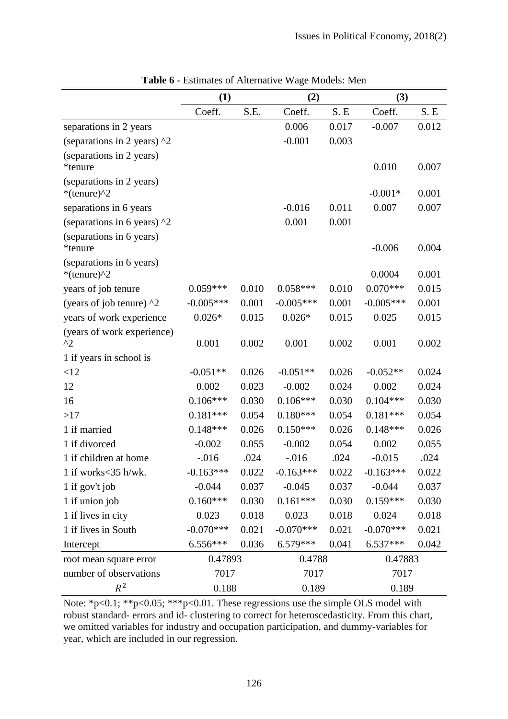|                                                    | (1)         | (2)   |             |       | (3)         |       |
|----------------------------------------------------|-------------|-------|-------------|-------|-------------|-------|
|                                                    | Coeff.      | S.E.  | Coeff.      | S.E   | Coeff.      | S.E   |
| separations in 2 years                             |             |       | 0.006       | 0.017 | $-0.007$    | 0.012 |
| (separations in 2 years) $\sqrt{2}$                |             |       | $-0.001$    | 0.003 |             |       |
| (separations in 2 years)<br>*tenure                |             |       |             |       | 0.010       | 0.007 |
| (separations in 2 years)<br>*(tenure) $\gamma$ 2   |             |       |             |       | $-0.001*$   | 0.001 |
| separations in 6 years                             |             |       | $-0.016$    | 0.011 | 0.007       | 0.007 |
| (separations in 6 years) $\frac{1}{2}$             |             |       | 0.001       | 0.001 |             |       |
| (separations in 6 years)<br>*tenure                |             |       |             |       | $-0.006$    | 0.004 |
| (separations in 6 years)<br>*(tenure) $^{\wedge}2$ |             |       |             |       | 0.0004      | 0.001 |
| years of job tenure                                | $0.059***$  | 0.010 | $0.058***$  | 0.010 | $0.070***$  | 0.015 |
| (years of job tenure) $\lambda$ 2                  | $-0.005***$ | 0.001 | $-0.005***$ | 0.001 | $-0.005***$ | 0.001 |
| years of work experience                           | $0.026*$    | 0.015 | $0.026*$    | 0.015 | 0.025       | 0.015 |
| (years of work experience)<br>$^{\wedge}2$         | 0.001       | 0.002 | 0.001       | 0.002 | 0.001       | 0.002 |
| 1 if years in school is                            |             |       |             |       |             |       |
| <12                                                | $-0.051**$  | 0.026 | $-0.051**$  | 0.026 | $-0.052**$  | 0.024 |
| 12                                                 | 0.002       | 0.023 | $-0.002$    | 0.024 | 0.002       | 0.024 |
| 16                                                 | $0.106***$  | 0.030 | $0.106***$  | 0.030 | $0.104***$  | 0.030 |
| >17                                                | $0.181***$  | 0.054 | $0.180***$  | 0.054 | $0.181***$  | 0.054 |
| 1 if married                                       | $0.148***$  | 0.026 | $0.150***$  | 0.026 | $0.148***$  | 0.026 |
| 1 if divorced                                      | $-0.002$    | 0.055 | $-0.002$    | 0.054 | 0.002       | 0.055 |
| 1 if children at home                              | $-0.016$    | .024  | $-.016$     | .024  | $-0.015$    | .024  |
| 1 if works $<$ 35 h/wk.                            | $-0.163***$ | 0.022 | $-0.163***$ | 0.022 | $-0.163***$ | 0.022 |
| 1 if gov't job                                     | $-0.044$    | 0.037 | $-0.045$    | 0.037 | $-0.044$    | 0.037 |
| 1 if union job                                     | $0.160***$  | 0.030 | $0.161***$  | 0.030 | $0.159***$  | 0.030 |
| 1 if lives in city                                 | 0.023       | 0.018 | 0.023       | 0.018 | 0.024       | 0.018 |
| 1 if lives in South                                | $-0.070***$ | 0.021 | $-0.070***$ | 0.021 | $-0.070***$ | 0.021 |
| Intercept                                          | $6.556***$  | 0.036 | $6.579***$  | 0.041 | $6.537***$  | 0.042 |
| root mean square error                             | 0.47893     |       | 0.4788      |       | 0.47883     |       |
| number of observations                             | 7017        |       | 7017        |       | 7017        |       |
| $R^2$                                              | 0.188       |       | 0.189       |       | 0.189       |       |

**Table 6** - Estimates of Alternative Wage Models: Men

Note: \*p<0.1; \*\*p<0.05; \*\*\*p<0.01. These regressions use the simple OLS model with robust standard- errors and id- clustering to correct for heteroscedasticity. From this chart, we omitted variables for industry and occupation participation, and dummy-variables for year, which are included in our regression.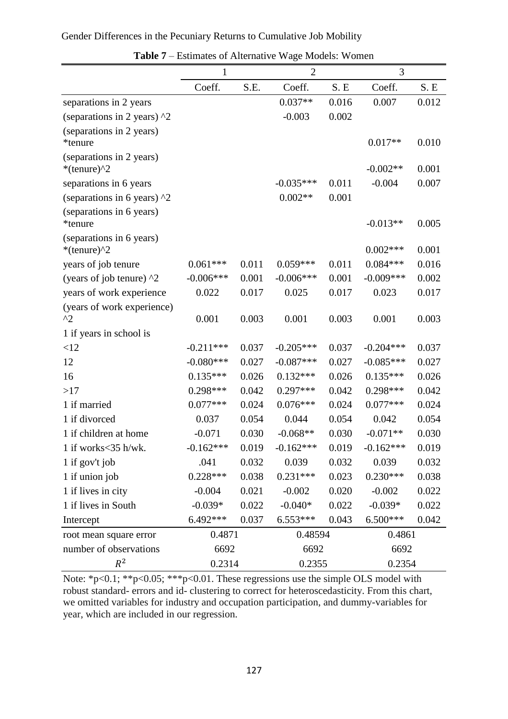| Gender Differences in the Pecuniary Returns to Cumulative Job Mobility |  |
|------------------------------------------------------------------------|--|
|------------------------------------------------------------------------|--|

|                                                    | $\overline{2}$<br>$\mathbf{1}$ |       |             | 3     |             |       |
|----------------------------------------------------|--------------------------------|-------|-------------|-------|-------------|-------|
|                                                    | Coeff.                         | S.E.  | Coeff.      | S.E   | Coeff.      | S.E   |
| separations in 2 years                             |                                |       | $0.037**$   | 0.016 | 0.007       | 0.012 |
| (separations in 2 years) $\lambda$ 2               |                                |       | $-0.003$    | 0.002 |             |       |
| (separations in 2 years)<br>*tenure                |                                |       |             |       | $0.017**$   | 0.010 |
| (separations in 2 years)<br>*(tenure) $^{\wedge}2$ |                                |       |             |       | $-0.002**$  | 0.001 |
| separations in 6 years                             |                                |       | $-0.035***$ | 0.011 | $-0.004$    | 0.007 |
| (separations in 6 years) $\frac{1}{2}$             |                                |       | $0.002**$   | 0.001 |             |       |
| (separations in 6 years)<br>*tenure                |                                |       |             |       | $-0.013**$  | 0.005 |
| (separations in 6 years)<br>*(tenure) $\gamma$ 2   |                                |       |             |       | $0.002***$  | 0.001 |
| years of job tenure                                | $0.061***$                     | 0.011 | $0.059***$  | 0.011 | $0.084***$  | 0.016 |
| (years of job tenure) $\lambda$ 2                  | $-0.006***$                    | 0.001 | $-0.006***$ | 0.001 | $-0.009***$ | 0.002 |
| years of work experience                           | 0.022                          | 0.017 | 0.025       | 0.017 | 0.023       | 0.017 |
| (years of work experience)<br>$^{\wedge}2$         | 0.001                          | 0.003 | 0.001       | 0.003 | 0.001       | 0.003 |
| 1 if years in school is                            |                                |       |             |       |             |       |
| <12                                                | $-0.211***$                    | 0.037 | $-0.205***$ | 0.037 | $-0.204***$ | 0.037 |
| 12                                                 | $-0.080***$                    | 0.027 | $-0.087***$ | 0.027 | $-0.085***$ | 0.027 |
| 16                                                 | $0.135***$                     | 0.026 | $0.132***$  | 0.026 | $0.135***$  | 0.026 |
| >17                                                | $0.298***$                     | 0.042 | $0.297***$  | 0.042 | $0.298***$  | 0.042 |
| 1 if married                                       | $0.077***$                     | 0.024 | $0.076***$  | 0.024 | $0.077***$  | 0.024 |
| 1 if divorced                                      | 0.037                          | 0.054 | 0.044       | 0.054 | 0.042       | 0.054 |
| 1 if children at home                              | $-0.071$                       | 0.030 | $-0.068**$  | 0.030 | $-0.071**$  | 0.030 |
| 1 if works $<$ 35 h/wk.                            | $-0.162***$                    | 0.019 | $-0.162***$ | 0.019 | $-0.162***$ | 0.019 |
| 1 if gov't job                                     | .041                           | 0.032 | 0.039       | 0.032 | 0.039       | 0.032 |
| 1 if union job                                     | $0.228***$                     | 0.038 | $0.231***$  | 0.023 | $0.230***$  | 0.038 |
| 1 if lives in city                                 | $-0.004$                       | 0.021 | $-0.002$    | 0.020 | $-0.002$    | 0.022 |
| 1 if lives in South                                | $-0.039*$                      | 0.022 | $-0.040*$   | 0.022 | $-0.039*$   | 0.022 |
| Intercept                                          | 6.492***                       | 0.037 | $6.553***$  | 0.043 | $6.500***$  | 0.042 |
| root mean square error                             | 0.4871                         |       | 0.48594     |       | 0.4861      |       |
| number of observations                             | 6692                           |       | 6692        |       | 6692        |       |
| $R^2$                                              | 0.2314                         |       | 0.2355      |       | 0.2354      |       |

| <b>Table 7</b> – Estimates of Alternative Wage Models: Women |  |  |  |
|--------------------------------------------------------------|--|--|--|
|--------------------------------------------------------------|--|--|--|

Note: \*p<0.1; \*\*p<0.05; \*\*\*p<0.01. These regressions use the simple OLS model with robust standard- errors and id- clustering to correct for heteroscedasticity. From this chart, we omitted variables for industry and occupation participation, and dummy-variables for year, which are included in our regression.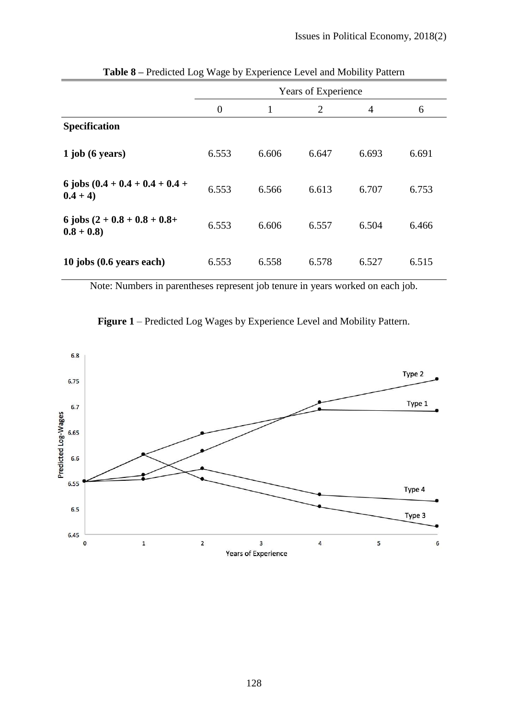|                                                | Years of Experience |       |                |                |       |
|------------------------------------------------|---------------------|-------|----------------|----------------|-------|
|                                                | $\overline{0}$      | 1     | $\overline{2}$ | $\overline{4}$ | 6     |
| <b>Specification</b>                           |                     |       |                |                |       |
| $1$ job (6 years)                              | 6.553               | 6.606 | 6.647          | 6.693          | 6.691 |
| 6 jobs $(0.4 + 0.4 + 0.4 + 0.4 +$<br>$0.4 + 4$ | 6.553               | 6.566 | 6.613          | 6.707          | 6.753 |
| 6 jobs $(2 + 0.8 + 0.8 + 0.8 +$<br>$0.8 + 0.8$ | 6.553               | 6.606 | 6.557          | 6.504          | 6.466 |
| 10 jobs (0.6 years each)                       | 6.553               | 6.558 | 6.578          | 6.527          | 6.515 |

**Table 8 –** Predicted Log Wage by Experience Level and Mobility Pattern

Note: Numbers in parentheses represent job tenure in years worked on each job.